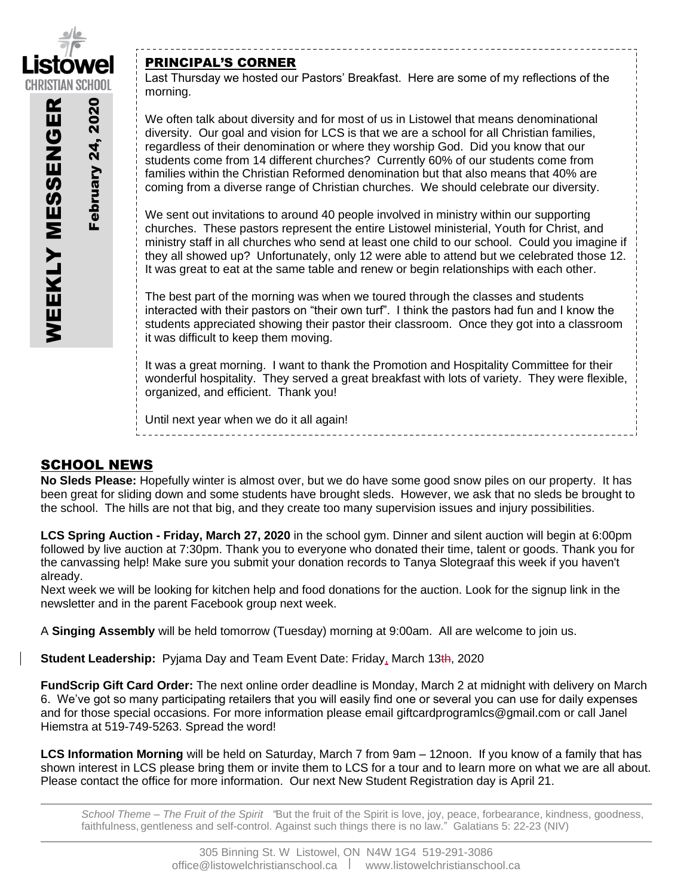

## PRINCIPAL'S CORNER

Last Thursday we hosted our Pastors' Breakfast. Here are some of my reflections of the morning.

We often talk about diversity and for most of us in Listowel that means denominational diversity. Our goal and vision for LCS is that we are a school for all Christian families, regardless of their denomination or where they worship God. Did you know that our students come from 14 different churches? Currently 60% of our students come from families within the Christian Reformed denomination but that also means that 40% are coming from a diverse range of Christian churches. We should celebrate our diversity.

We sent out invitations to around 40 people involved in ministry within our supporting churches. These pastors represent the entire Listowel ministerial, Youth for Christ, and ministry staff in all churches who send at least one child to our school. Could you imagine if they all showed up? Unfortunately, only 12 were able to attend but we celebrated those 12. It was great to eat at the same table and renew or begin relationships with each other.

The best part of the morning was when we toured through the classes and students interacted with their pastors on "their own turf". I think the pastors had fun and I know the students appreciated showing their pastor their classroom. Once they got into a classroom it was difficult to keep them moving.

It was a great morning. I want to thank the Promotion and Hospitality Committee for their wonderful hospitality. They served a great breakfast with lots of variety. They were flexible, organized, and efficient. Thank you!

Until next year when we do it all again!

# SCHOOL NEWS

**No Sleds Please:** Hopefully winter is almost over, but we do have some good snow piles on our property. It has been great for sliding down and some students have brought sleds. However, we ask that no sleds be brought to the school. The hills are not that big, and they create too many supervision issues and injury possibilities.

**LCS Spring Auction - Friday, March 27, 2020** in the school gym. Dinner and silent auction will begin at 6:00pm followed by live auction at 7:30pm. Thank you to everyone who donated their time, talent or goods. Thank you for the canvassing help! Make sure you submit your donation records to Tanya Slotegraaf this week if you haven't already.

Next week we will be looking for kitchen help and food donations for the auction. Look for the signup link in the newsletter and in the parent Facebook group next week.

A **Singing Assembly** will be held tomorrow (Tuesday) morning at 9:00am. All are welcome to join us.

**Student Leadership:** Pyjama Day and Team Event Date: Friday, March 13th, 2020

**FundScrip Gift Card Order:** The next online order deadline is Monday, March 2 at midnight with delivery on March 6. We've got so many participating retailers that you will easily find one or several you can use for daily expenses and for those special occasions. For more information please email giftcardprogramlcs@gmail.com or call Janel Hiemstra at 519-749-5263. Spread the word!

**LCS Information Morning** will be held on Saturday, March 7 from 9am – 12noon. If you know of a family that has shown interest in LCS please bring them or invite them to LCS for a tour and to learn more on what we are all about. Please contact the office for more information. Our next New Student Registration day is April 21.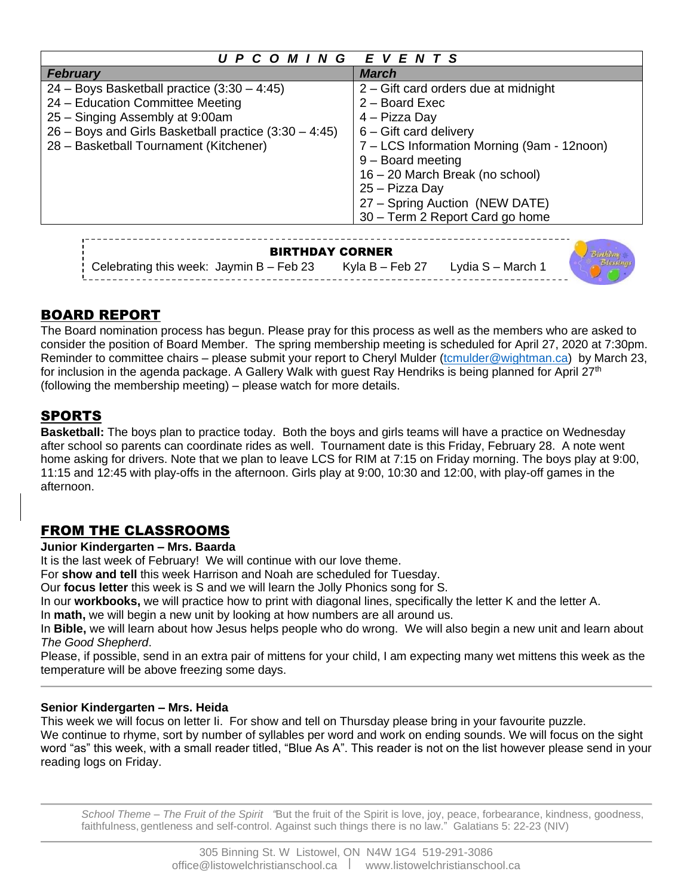| <b>MING</b><br>E V E N T S<br>UPCO                                                                                                                                                                                            |                                                                                                                                                                                                                                                                     |
|-------------------------------------------------------------------------------------------------------------------------------------------------------------------------------------------------------------------------------|---------------------------------------------------------------------------------------------------------------------------------------------------------------------------------------------------------------------------------------------------------------------|
| <b>February</b>                                                                                                                                                                                                               | <b>March</b>                                                                                                                                                                                                                                                        |
| $24 - Boys$ Basketball practice $(3:30 - 4:45)$<br>24 - Education Committee Meeting<br>25 - Singing Assembly at 9:00am<br>$26 -$ Boys and Girls Basketball practice $(3:30 - 4:45)$<br>28 - Basketball Tournament (Kitchener) | $2 -$ Gift card orders due at midnight<br>$2 -$ Board Exec<br>4 – Pizza Day<br>$6 -$ Gift card delivery<br>7 – LCS Information Morning (9am - 12noon)<br>$9 -$ Board meeting<br>16 - 20 March Break (no school)<br>25 – Pizza Day<br>27 – Spring Auction (NEW DATE) |
|                                                                                                                                                                                                                               | 30 - Term 2 Report Card go home                                                                                                                                                                                                                                     |
| <b>BIRTHDAY CORNER</b>                                                                                                                                                                                                        |                                                                                                                                                                                                                                                                     |
| Celebrating this week: Jaymin $B$ – Feb 23                                                                                                                                                                                    | Lydia S - March 1<br>Kyla $B - Feb 27$                                                                                                                                                                                                                              |

# BOARD REPORT

The Board nomination process has begun. Please pray for this process as well as the members who are asked to consider the position of Board Member. The spring membership meeting is scheduled for April 27, 2020 at 7:30pm. Reminder to committee chairs – please submit your report to Cheryl Mulder [\(tcmulder@wightman.ca\)](mailto:tcmulder@wightman.ca) by March 23, for inclusion in the agenda package. A Gallery Walk with guest Ray Hendriks is being planned for April  $27<sup>th</sup>$ (following the membership meeting) – please watch for more details.

# SPORTS

**Basketball:** The boys plan to practice today. Both the boys and girls teams will have a practice on Wednesday after school so parents can coordinate rides as well. Tournament date is this Friday, February 28. A note went home asking for drivers. Note that we plan to leave LCS for RIM at 7:15 on Friday morning. The boys play at 9:00, 11:15 and 12:45 with play-offs in the afternoon. Girls play at 9:00, 10:30 and 12:00, with play-off games in the afternoon.

# FROM THE CLASSROOMS

## **Junior Kindergarten – Mrs. Baarda**

It is the last week of February! We will continue with our love theme.

For **show and tell** this week Harrison and Noah are scheduled for Tuesday.

Our **focus letter** this week is S and we will learn the Jolly Phonics song for S.

In our **workbooks,** we will practice how to print with diagonal lines, specifically the letter K and the letter A.

In **math,** we will begin a new unit by looking at how numbers are all around us.

In **Bible,** we will learn about how Jesus helps people who do wrong. We will also begin a new unit and learn about *The Good Shepherd*.

Please, if possible, send in an extra pair of mittens for your child, I am expecting many wet mittens this week as the temperature will be above freezing some days.

## **Senior Kindergarten – Mrs. Heida**

This week we will focus on letter Ii. For show and tell on Thursday please bring in your favourite puzzle. We continue to rhyme, sort by number of syllables per word and work on ending sounds. We will focus on the sight word "as" this week, with a small reader titled, "Blue As A". This reader is not on the list however please send in your reading logs on Friday.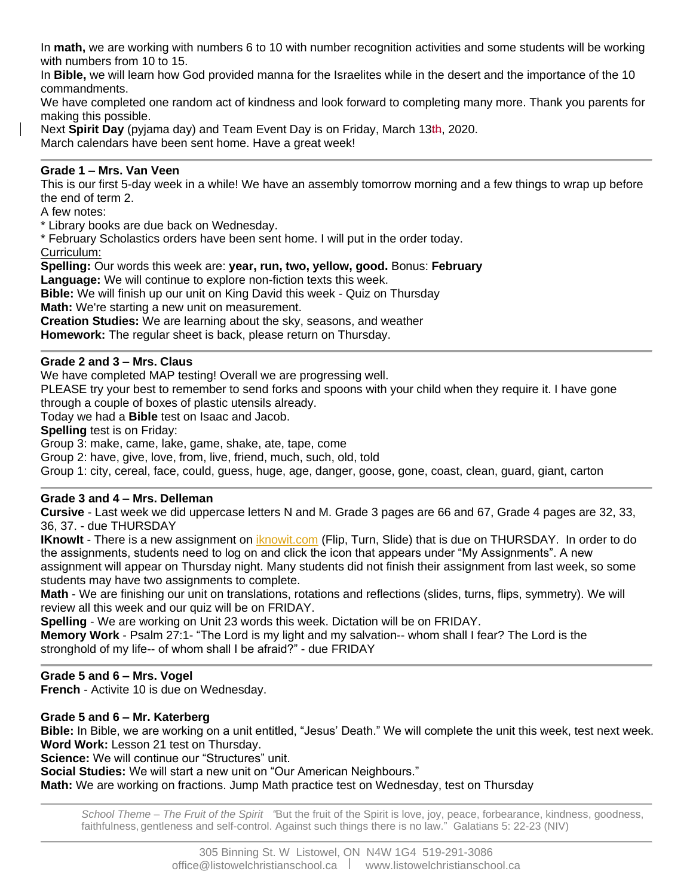In **math,** we are working with numbers 6 to 10 with number recognition activities and some students will be working with numbers from 10 to 15.

In **Bible,** we will learn how God provided manna for the Israelites while in the desert and the importance of the 10 commandments.

We have completed one random act of kindness and look forward to completing many more. Thank you parents for making this possible.

Next **Spirit Day** (pyjama day) and Team Event Day is on Friday, March 13th, 2020.

March calendars have been sent home. Have a great week!

## **Grade 1 – Mrs. Van Veen**

This is our first 5-day week in a while! We have an assembly tomorrow morning and a few things to wrap up before the end of term 2.

A few notes:

\* Library books are due back on Wednesday.

\* February Scholastics orders have been sent home. I will put in the order today.

Curriculum:

**Spelling:** Our words this week are: **year, run, two, yellow, good.** Bonus: **February**

**Language:** We will continue to explore non-fiction texts this week.

**Bible:** We will finish up our unit on King David this week - Quiz on Thursday

**Math:** We're starting a new unit on measurement.

**Creation Studies:** We are learning about the sky, seasons, and weather

**Homework:** The regular sheet is back, please return on Thursday.

## **Grade 2 and 3 – Mrs. Claus**

We have completed MAP testing! Overall we are progressing well.

PLEASE try your best to remember to send forks and spoons with your child when they require it. I have gone through a couple of boxes of plastic utensils already.

Today we had a **Bible** test on Isaac and Jacob.

**Spelling** test is on Friday:

Group 3: make, came, lake, game, shake, ate, tape, come

Group 2: have, give, love, from, live, friend, much, such, old, told

Group 1: city, cereal, face, could, guess, huge, age, danger, goose, gone, coast, clean, guard, giant, carton

#### **Grade 3 and 4 – Mrs. Delleman**

**Cursive** - Last week we did uppercase letters N and M. Grade 3 pages are 66 and 67, Grade 4 pages are 32, 33, 36, 37. - due THURSDAY

**IKnowIt** - There is a new assignment on *iknowit.com* (Flip, Turn, Slide) that is due on THURSDAY. In order to do the assignments, students need to log on and click the icon that appears under "My Assignments". A new assignment will appear on Thursday night. Many students did not finish their assignment from last week, so some students may have two assignments to complete.

**Math** - We are finishing our unit on translations, rotations and reflections (slides, turns, flips, symmetry). We will review all this week and our quiz will be on FRIDAY.

**Spelling** - We are working on Unit 23 words this week. Dictation will be on FRIDAY.

**Memory Work** - Psalm 27:1- "The Lord is my light and my salvation-- whom shall I fear? The Lord is the stronghold of my life-- of whom shall I be afraid?" - due FRIDAY

## **Grade 5 and 6 – Mrs. Vogel**

**French** - Activite 10 is due on Wednesday.

## **Grade 5 and 6 – Mr. Katerberg**

**Bible:** In Bible, we are working on a unit entitled, "Jesus' Death." We will complete the unit this week, test next week. **Word Work:** Lesson 21 test on Thursday.

**Science:** We will continue our "Structures" unit.

**Social Studies:** We will start a new unit on "Our American Neighbours."

**Math:** We are working on fractions. Jump Math practice test on Wednesday, test on Thursday